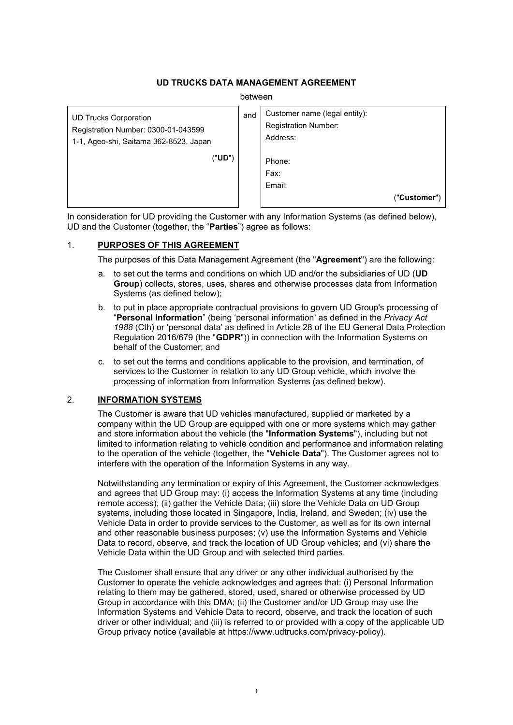## **UD TRUCKS DATA MANAGEMENT AGREEMENT**

between

| <b>UD Trucks Corporation</b><br>Registration Number: 0300-01-043599<br>1-1, Ageo-shi, Saitama 362-8523, Japan | and | Customer name (legal entity):<br><b>Registration Number:</b><br>Address: |
|---------------------------------------------------------------------------------------------------------------|-----|--------------------------------------------------------------------------|
| ("UD")                                                                                                        |     | Phone:                                                                   |
|                                                                                                               |     | Fax:                                                                     |
|                                                                                                               |     | Email:                                                                   |
|                                                                                                               |     | ("Customer")                                                             |

In consideration for UD providing the Customer with any Information Systems (as defined below), UD and the Customer (together, the "**Parties**") agree as follows:

## 1. **PURPOSES OF THIS AGREEMENT**

The purposes of this Data Management Agreement (the "**Agreement**") are the following:

- a. to set out the terms and conditions on which UD and/or the subsidiaries of UD (**UD Group**) collects, stores, uses, shares and otherwise processes data from Information Systems (as defined below);
- b. to put in place appropriate contractual provisions to govern UD Group's processing of "**Personal Information**" (being 'personal information' as defined in the *Privacy Act 1988* (Cth) or 'personal data' as defined in Article 28 of the EU General Data Protection Regulation 2016/679 (the "**GDPR**")) in connection with the Information Systems on behalf of the Customer; and
- c. to set out the terms and conditions applicable to the provision, and termination, of services to the Customer in relation to any UD Group vehicle, which involve the processing of information from Information Systems (as defined below).

## 2. **INFORMATION SYSTEMS**

The Customer is aware that UD vehicles manufactured, supplied or marketed by a company within the UD Group are equipped with one or more systems which may gather and store information about the vehicle (the "**Information Systems**"), including but not limited to information relating to vehicle condition and performance and information relating to the operation of the vehicle (together, the "**Vehicle Data**"). The Customer agrees not to interfere with the operation of the Information Systems in any way.

Notwithstanding any termination or expiry of this Agreement, the Customer acknowledges and agrees that UD Group may: (i) access the Information Systems at any time (including remote access); (ii) gather the Vehicle Data; (iii) store the Vehicle Data on UD Group systems, including those located in Singapore, India, Ireland, and Sweden; (iv) use the Vehicle Data in order to provide services to the Customer, as well as for its own internal and other reasonable business purposes; (v) use the Information Systems and Vehicle Data to record, observe, and track the location of UD Group vehicles; and (vi) share the Vehicle Data within the UD Group and with selected third parties.

The Customer shall ensure that any driver or any other individual authorised by the Customer to operate the vehicle acknowledges and agrees that: (i) Personal Information relating to them may be gathered, stored, used, shared or otherwise processed by UD Group in accordance with this DMA; (ii) the Customer and/or UD Group may use the Information Systems and Vehicle Data to record, observe, and track the location of such driver or other individual; and (iii) is referred to or provided with a copy of the applicable UD Group privacy notice (available at https://www.udtrucks.com/privacy-policy).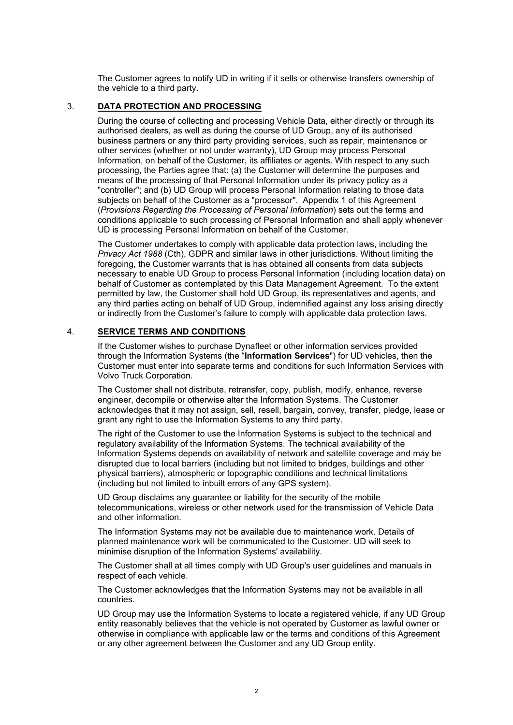The Customer agrees to notify UD in writing if it sells or otherwise transfers ownership of the vehicle to a third party.

## 3. **DATA PROTECTION AND PROCESSING**

During the course of collecting and processing Vehicle Data, either directly or through its authorised dealers, as well as during the course of UD Group, any of its authorised business partners or any third party providing services, such as repair, maintenance or other services (whether or not under warranty), UD Group may process Personal Information, on behalf of the Customer, its affiliates or agents. With respect to any such processing, the Parties agree that: (a) the Customer will determine the purposes and means of the processing of that Personal Information under its privacy policy as a "controller"; and (b) UD Group will process Personal Information relating to those data subjects on behalf of the Customer as a "processor". [Appendix](#page-5-0) 1 of this Agreement (*[Provisions Regarding the Processing of Personal Information](#page-5-0)*) sets out the terms and conditions applicable to such processing of Personal Information and shall apply whenever UD is processing Personal Information on behalf of the Customer.

The Customer undertakes to comply with applicable data protection laws, including the *Privacy Act 1988* (Cth), GDPR and similar laws in other jurisdictions. Without limiting the foregoing, the Customer warrants that is has obtained all consents from data subjects necessary to enable UD Group to process Personal Information (including location data) on behalf of Customer as contemplated by this Data Management Agreement. To the extent permitted by law, the Customer shall hold UD Group, its representatives and agents, and any third parties acting on behalf of UD Group, indemnified against any loss arising directly or indirectly from the Customer's failure to comply with applicable data protection laws.

#### 4. **SERVICE TERMS AND CONDITIONS**

If the Customer wishes to purchase Dynafleet or other information services provided through the Information Systems (the "**Information Services**") for UD vehicles, then the Customer must enter into separate terms and conditions for such Information Services with Volvo Truck Corporation.

The Customer shall not distribute, retransfer, copy, publish, modify, enhance, reverse engineer, decompile or otherwise alter the Information Systems. The Customer acknowledges that it may not assign, sell, resell, bargain, convey, transfer, pledge, lease or grant any right to use the Information Systems to any third party.

The right of the Customer to use the Information Systems is subject to the technical and regulatory availability of the Information Systems. The technical availability of the Information Systems depends on availability of network and satellite coverage and may be disrupted due to local barriers (including but not limited to bridges, buildings and other physical barriers), atmospheric or topographic conditions and technical limitations (including but not limited to inbuilt errors of any GPS system).

UD Group disclaims any guarantee or liability for the security of the mobile telecommunications, wireless or other network used for the transmission of Vehicle Data and other information.

The Information Systems may not be available due to maintenance work. Details of planned maintenance work will be communicated to the Customer. UD will seek to minimise disruption of the Information Systems' availability.

The Customer shall at all times comply with UD Group's user guidelines and manuals in respect of each vehicle.

The Customer acknowledges that the Information Systems may not be available in all countries.

UD Group may use the Information Systems to locate a registered vehicle, if any UD Group entity reasonably believes that the vehicle is not operated by Customer as lawful owner or otherwise in compliance with applicable law or the terms and conditions of this Agreement or any other agreement between the Customer and any UD Group entity.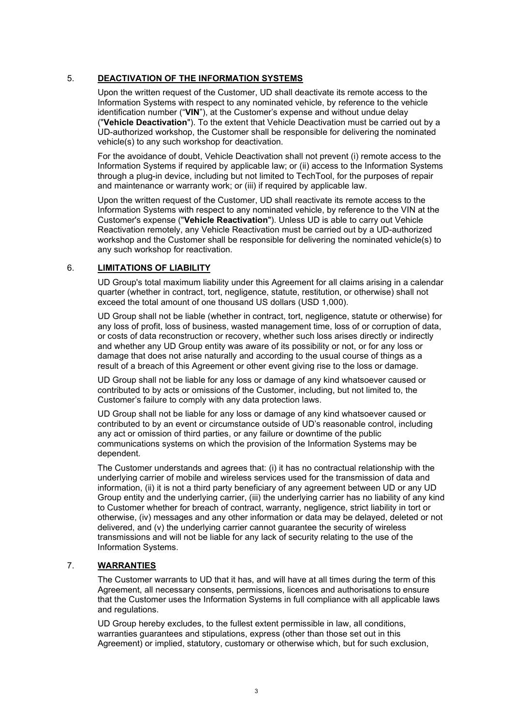### 5. **DEACTIVATION OF THE INFORMATION SYSTEMS**

Upon the written request of the Customer, UD shall deactivate its remote access to the Information Systems with respect to any nominated vehicle, by reference to the vehicle identification number ("**VIN**"), at the Customer's expense and without undue delay ("**Vehicle Deactivation**"). To the extent that Vehicle Deactivation must be carried out by a UD-authorized workshop, the Customer shall be responsible for delivering the nominated vehicle(s) to any such workshop for deactivation.

For the avoidance of doubt, Vehicle Deactivation shall not prevent (i) remote access to the Information Systems if required by applicable law; or (ii) access to the Information Systems through a plug-in device, including but not limited to TechTool, for the purposes of repair and maintenance or warranty work; or (iii) if required by applicable law.

Upon the written request of the Customer, UD shall reactivate its remote access to the Information Systems with respect to any nominated vehicle, by reference to the VIN at the Customer's expense ("**Vehicle Reactivation**"). Unless UD is able to carry out Vehicle Reactivation remotely, any Vehicle Reactivation must be carried out by a UD-authorized workshop and the Customer shall be responsible for delivering the nominated vehicle(s) to any such workshop for reactivation.

### 6. **LIMITATIONS OF LIABILITY**

UD Group's total maximum liability under this Agreement for all claims arising in a calendar quarter (whether in contract, tort, negligence, statute, restitution, or otherwise) shall not exceed the total amount of one thousand US dollars (USD 1,000).

UD Group shall not be liable (whether in contract, tort, negligence, statute or otherwise) for any loss of profit, loss of business, wasted management time, loss of or corruption of data, or costs of data reconstruction or recovery, whether such loss arises directly or indirectly and whether any UD Group entity was aware of its possibility or not, or for any loss or damage that does not arise naturally and according to the usual course of things as a result of a breach of this Agreement or other event giving rise to the loss or damage.

UD Group shall not be liable for any loss or damage of any kind whatsoever caused or contributed to by acts or omissions of the Customer, including, but not limited to, the Customer's failure to comply with any data protection laws.

UD Group shall not be liable for any loss or damage of any kind whatsoever caused or contributed to by an event or circumstance outside of UD's reasonable control, including any act or omission of third parties, or any failure or downtime of the public communications systems on which the provision of the Information Systems may be dependent.

The Customer understands and agrees that: (i) it has no contractual relationship with the underlying carrier of mobile and wireless services used for the transmission of data and information, (ii) it is not a third party beneficiary of any agreement between UD or any UD Group entity and the underlying carrier, (iii) the underlying carrier has no liability of any kind to Customer whether for breach of contract, warranty, negligence, strict liability in tort or otherwise, (iv) messages and any other information or data may be delayed, deleted or not delivered, and (v) the underlying carrier cannot guarantee the security of wireless transmissions and will not be liable for any lack of security relating to the use of the Information Systems.

## 7. **WARRANTIES**

The Customer warrants to UD that it has, and will have at all times during the term of this Agreement, all necessary consents, permissions, licences and authorisations to ensure that the Customer uses the Information Systems in full compliance with all applicable laws and regulations.

UD Group hereby excludes, to the fullest extent permissible in law, all conditions, warranties guarantees and stipulations, express (other than those set out in this Agreement) or implied, statutory, customary or otherwise which, but for such exclusion,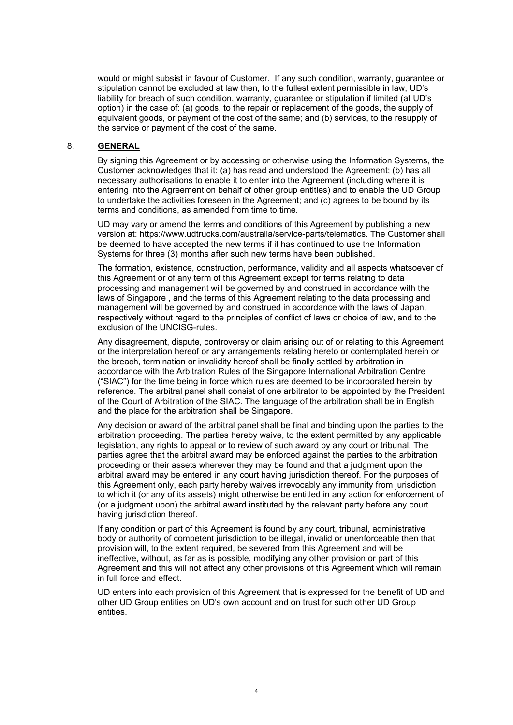would or might subsist in favour of Customer. If any such condition, warranty, guarantee or stipulation cannot be excluded at law then, to the fullest extent permissible in law, UD's liability for breach of such condition, warranty, guarantee or stipulation if limited (at UD's option) in the case of: (a) goods, to the repair or replacement of the goods, the supply of equivalent goods, or payment of the cost of the same; and (b) services, to the resupply of the service or payment of the cost of the same.

### 8. **GENERAL**

By signing this Agreement or by accessing or otherwise using the Information Systems, the Customer acknowledges that it: (a) has read and understood the Agreement; (b) has all necessary authorisations to enable it to enter into the Agreement (including where it is entering into the Agreement on behalf of other group entities) and to enable the UD Group to undertake the activities foreseen in the Agreement; and (c) agrees to be bound by its terms and conditions, as amended from time to time.

UD may vary or amend the terms and conditions of this Agreement by publishing a new version at: https://www.udtrucks.com/australia/service-parts/telematics. The Customer shall be deemed to have accepted the new terms if it has continued to use the Information Systems for three (3) months after such new terms have been published.

The formation, existence, construction, performance, validity and all aspects whatsoever of this Agreement or of any term of this Agreement except for terms relating to data processing and management will be governed by and construed in accordance with the laws of Singapore , and the terms of this Agreement relating to the data processing and management will be governed by and construed in accordance with the laws of Japan, respectively without regard to the principles of conflict of laws or choice of law, and to the exclusion of the UNCISG-rules.

Any disagreement, dispute, controversy or claim arising out of or relating to this Agreement or the interpretation hereof or any arrangements relating hereto or contemplated herein or the breach, termination or invalidity hereof shall be finally settled by arbitration in accordance with the Arbitration Rules of the Singapore International Arbitration Centre ("SIAC") for the time being in force which rules are deemed to be incorporated herein by reference. The arbitral panel shall consist of one arbitrator to be appointed by the President of the Court of Arbitration of the SIAC. The language of the arbitration shall be in English and the place for the arbitration shall be Singapore.

Any decision or award of the arbitral panel shall be final and binding upon the parties to the arbitration proceeding. The parties hereby waive, to the extent permitted by any applicable legislation, any rights to appeal or to review of such award by any court or tribunal. The parties agree that the arbitral award may be enforced against the parties to the arbitration proceeding or their assets wherever they may be found and that a judgment upon the arbitral award may be entered in any court having jurisdiction thereof. For the purposes of this Agreement only, each party hereby waives irrevocably any immunity from jurisdiction to which it (or any of its assets) might otherwise be entitled in any action for enforcement of (or a judgment upon) the arbitral award instituted by the relevant party before any court having jurisdiction thereof.

If any condition or part of this Agreement is found by any court, tribunal, administrative body or authority of competent jurisdiction to be illegal, invalid or unenforceable then that provision will, to the extent required, be severed from this Agreement and will be ineffective, without, as far as is possible, modifying any other provision or part of this Agreement and this will not affect any other provisions of this Agreement which will remain in full force and effect.

UD enters into each provision of this Agreement that is expressed for the benefit of UD and other UD Group entities on UD's own account and on trust for such other UD Group entities.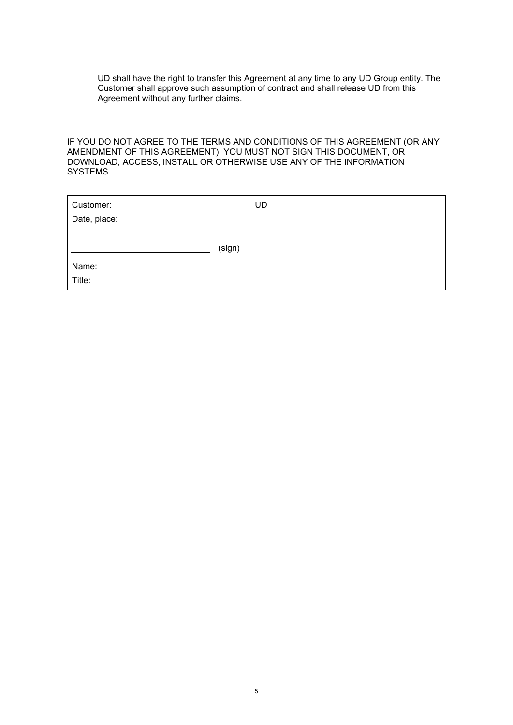UD shall have the right to transfer this Agreement at any time to any UD Group entity. The Customer shall approve such assumption of contract and shall release UD from this Agreement without any further claims.

IF YOU DO NOT AGREE TO THE TERMS AND CONDITIONS OF THIS AGREEMENT (OR ANY AMENDMENT OF THIS AGREEMENT), YOU MUST NOT SIGN THIS DOCUMENT, OR DOWNLOAD, ACCESS, INSTALL OR OTHERWISE USE ANY OF THE INFORMATION SYSTEMS.

| Customer:    |        | <b>UD</b> |
|--------------|--------|-----------|
| Date, place: |        |           |
|              | (sign) |           |
| Name:        |        |           |
| Title:       |        |           |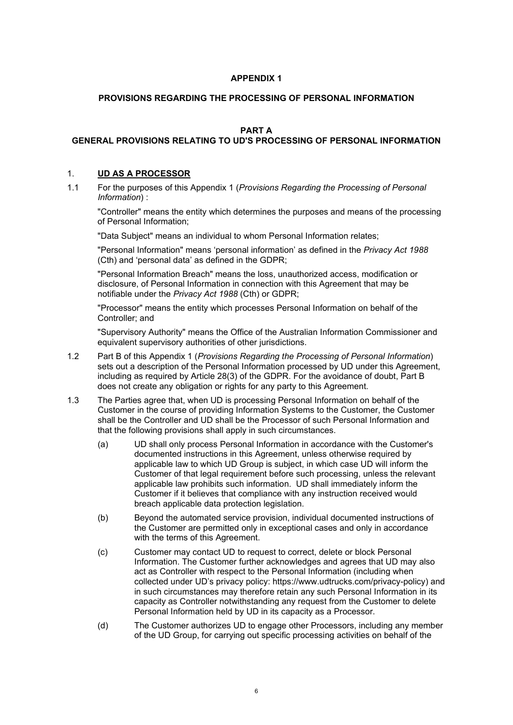## **APPENDIX 1**

## <span id="page-5-0"></span>**PROVISIONS REGARDING THE PROCESSING OF PERSONAL INFORMATION**

## **PART A**

# **GENERAL PROVISIONS RELATING TO UD'S PROCESSING OF PERSONAL INFORMATION**

### 1. **UD AS A PROCESSOR**

1.1 For the purposes of this [Appendix](#page-5-0) 1 (*[Provisions Regarding the Processing of Personal](#page-5-0)  [Information](#page-5-0)*) :

"Controller" means the entity which determines the purposes and means of the processing of Personal Information;

"Data Subject" means an individual to whom Personal Information relates;

"Personal Information" means 'personal information' as defined in the *Privacy Act 1988* (Cth) and 'personal data' as defined in the GDPR;

"Personal Information Breach" means the loss, unauthorized access, modification or disclosure, of Personal Information in connection with this Agreement that may be notifiable under the *Privacy Act 1988* (Cth) or GDPR;

"Processor" means the entity which processes Personal Information on behalf of the Controller; and

"Supervisory Authority" means the Office of the Australian Information Commissioner and equivalent supervisory authorities of other jurisdictions.

- 1.2 [Part](#page-8-0) B of this [Appendix](#page-5-0) 1 (*[Provisions Regarding the Processing of Personal Information](#page-5-0)*) sets out a description of the Personal Information processed by UD under this Agreement, including as required by Article 28(3) of the GDPR. For the avoidance of doubt, Part B does not create any obligation or rights for any party to this Agreement.
- 1.3 The Parties agree that, when UD is processing Personal Information on behalf of the Customer in the course of providing Information Systems to the Customer, the Customer shall be the Controller and UD shall be the Processor of such Personal Information and that the following provisions shall apply in such circumstances.
	- (a) UD shall only process Personal Information in accordance with the Customer's documented instructions in this Agreement, unless otherwise required by applicable law to which UD Group is subject, in which case UD will inform the Customer of that legal requirement before such processing, unless the relevant applicable law prohibits such information. UD shall immediately inform the Customer if it believes that compliance with any instruction received would breach applicable data protection legislation.
	- (b) Beyond the automated service provision, individual documented instructions of the Customer are permitted only in exceptional cases and only in accordance with the terms of this Agreement.
	- (c) Customer may contact UD to request to correct, delete or block Personal Information. The Customer further acknowledges and agrees that UD may also act as Controller with respect to the Personal Information (including when collected under UD's privacy policy: https://www.udtrucks.com/privacy-policy) and in such circumstances may therefore retain any such Personal Information in its capacity as Controller notwithstanding any request from the Customer to delete Personal Information held by UD in its capacity as a Processor.
	- (d) The Customer authorizes UD to engage other Processors, including any member of the UD Group, for carrying out specific processing activities on behalf of the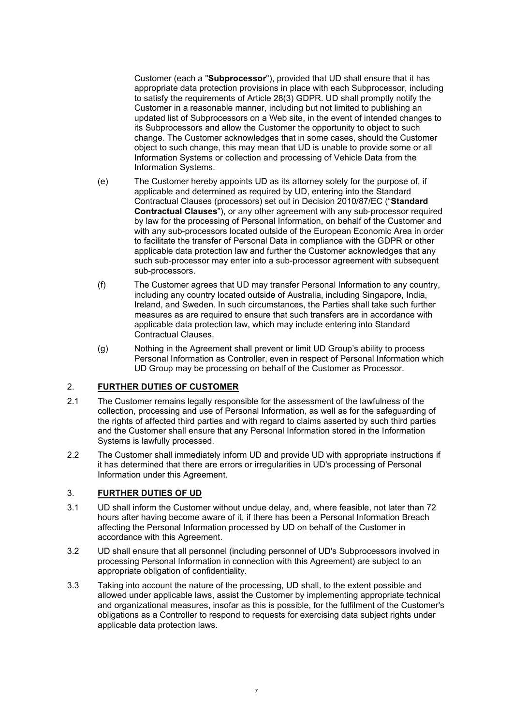Customer (each a "**Subprocessor**"), provided that UD shall ensure that it has appropriate data protection provisions in place with each Subprocessor, including to satisfy the requirements of Article 28(3) GDPR. UD shall promptly notify the Customer in a reasonable manner, including but not limited to publishing an updated list of Subprocessors on a Web site, in the event of intended changes to its Subprocessors and allow the Customer the opportunity to object to such change. The Customer acknowledges that in some cases, should the Customer object to such change, this may mean that UD is unable to provide some or all Information Systems or collection and processing of Vehicle Data from the Information Systems.

- (e) The Customer hereby appoints UD as its attorney solely for the purpose of, if applicable and determined as required by UD, entering into the Standard Contractual Clauses (processors) set out in Decision 2010/87/EC ("**Standard Contractual Clauses**"), or any other agreement with any sub-processor required by law for the processing of Personal Information, on behalf of the Customer and with any sub-processors located outside of the European Economic Area in order to facilitate the transfer of Personal Data in compliance with the GDPR or other applicable data protection law and further the Customer acknowledges that any such sub-processor may enter into a sub-processor agreement with subsequent sub-processors.
- (f) The Customer agrees that UD may transfer Personal Information to any country, including any country located outside of Australia, including Singapore, India, Ireland, and Sweden. In such circumstances, the Parties shall take such further measures as are required to ensure that such transfers are in accordance with applicable data protection law, which may include entering into Standard Contractual Clauses.
- (g) Nothing in the Agreement shall prevent or limit UD Group's ability to process Personal Information as Controller, even in respect of Personal Information which UD Group may be processing on behalf of the Customer as Processor.

## 2. **FURTHER DUTIES OF CUSTOMER**

- 2.1 The Customer remains legally responsible for the assessment of the lawfulness of the collection, processing and use of Personal Information, as well as for the safeguarding of the rights of affected third parties and with regard to claims asserted by such third parties and the Customer shall ensure that any Personal Information stored in the Information Systems is lawfully processed.
- 2.2 The Customer shall immediately inform UD and provide UD with appropriate instructions if it has determined that there are errors or irregularities in UD's processing of Personal Information under this Agreement.

## 3. **FURTHER DUTIES OF UD**

- 3.1 UD shall inform the Customer without undue delay, and, where feasible, not later than 72 hours after having become aware of it, if there has been a Personal Information Breach affecting the Personal Information processed by UD on behalf of the Customer in accordance with this Agreement.
- 3.2 UD shall ensure that all personnel (including personnel of UD's Subprocessors involved in processing Personal Information in connection with this Agreement) are subject to an appropriate obligation of confidentiality.
- 3.3 Taking into account the nature of the processing, UD shall, to the extent possible and allowed under applicable laws, assist the Customer by implementing appropriate technical and organizational measures, insofar as this is possible, for the fulfilment of the Customer's obligations as a Controller to respond to requests for exercising data subject rights under applicable data protection laws.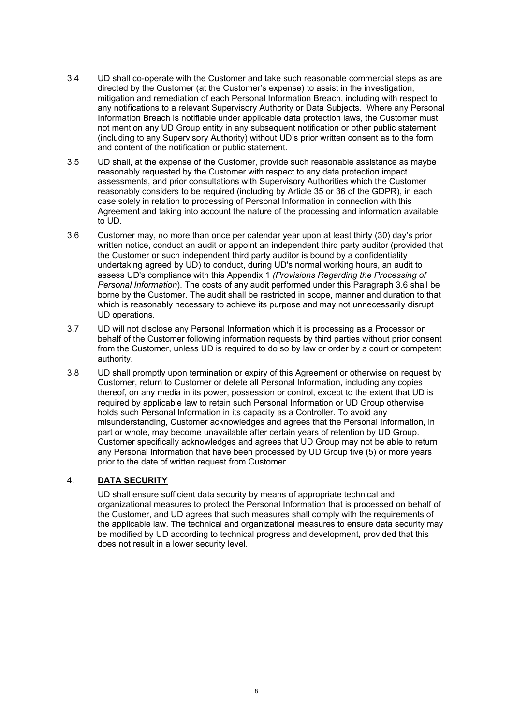- 3.4 UD shall co-operate with the Customer and take such reasonable commercial steps as are directed by the Customer (at the Customer's expense) to assist in the investigation, mitigation and remediation of each Personal Information Breach, including with respect to any notifications to a relevant Supervisory Authority or Data Subjects. Where any Personal Information Breach is notifiable under applicable data protection laws, the Customer must not mention any UD Group entity in any subsequent notification or other public statement (including to any Supervisory Authority) without UD's prior written consent as to the form and content of the notification or public statement.
- 3.5 UD shall, at the expense of the Customer, provide such reasonable assistance as maybe reasonably requested by the Customer with respect to any data protection impact assessments, and prior consultations with Supervisory Authorities which the Customer reasonably considers to be required (including by Article 35 or 36 of the GDPR), in each case solely in relation to processing of Personal Information in connection with this Agreement and taking into account the nature of the processing and information available to UD.
- <span id="page-7-0"></span>3.6 Customer may, no more than once per calendar year upon at least thirty (30) day's prior written notice, conduct an audit or appoint an independent third party auditor (provided that the Customer or such independent third party auditor is bound by a confidentiality undertaking agreed by UD) to conduct, during UD's normal working hours, an audit to assess UD's compliance with this [Appendix](#page-5-0) 1 *(Provisions Regarding the Processing of Personal Information*). The costs of any audit performed under this Paragraph [3.6](#page-7-0) shall be borne by the Customer. The audit shall be restricted in scope, manner and duration to that which is reasonably necessary to achieve its purpose and may not unnecessarily disrupt UD operations.
- 3.7 UD will not disclose any Personal Information which it is processing as a Processor on behalf of the Customer following information requests by third parties without prior consent from the Customer, unless UD is required to do so by law or order by a court or competent authority.
- 3.8 UD shall promptly upon termination or expiry of this Agreement or otherwise on request by Customer, return to Customer or delete all Personal Information, including any copies thereof, on any media in its power, possession or control, except to the extent that UD is required by applicable law to retain such Personal Information or UD Group otherwise holds such Personal Information in its capacity as a Controller. To avoid any misunderstanding, Customer acknowledges and agrees that the Personal Information, in part or whole, may become unavailable after certain years of retention by UD Group. Customer specifically acknowledges and agrees that UD Group may not be able to return any Personal Information that have been processed by UD Group five (5) or more years prior to the date of written request from Customer.

## 4. **DATA SECURITY**

UD shall ensure sufficient data security by means of appropriate technical and organizational measures to protect the Personal Information that is processed on behalf of the Customer, and UD agrees that such measures shall comply with the requirements of the applicable law. The technical and organizational measures to ensure data security may be modified by UD according to technical progress and development, provided that this does not result in a lower security level.